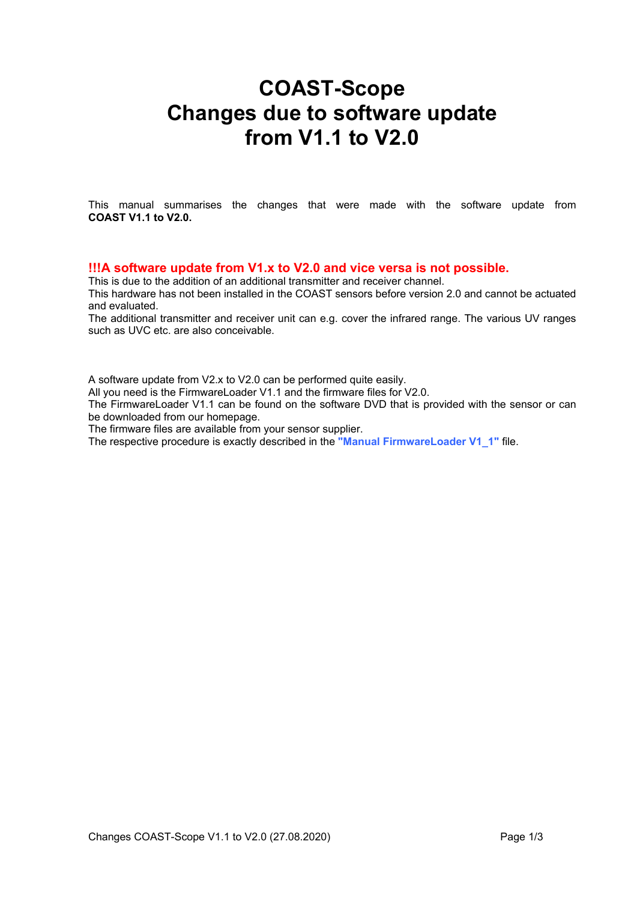## **COAST-Scope Changes due to software update from V1.1 to V2.0**

This manual summarises the changes that were made with the software update from **COAST V1.1 to V2.0.**

## **!!!A software update from V1.x to V2.0 and vice versa is not possible.**

This is due to the addition of an additional transmitter and receiver channel.

This hardware has not been installed in the COAST sensors before version 2.0 and cannot be actuated and evaluated.

The additional transmitter and receiver unit can e.g. cover the infrared range. The various UV ranges such as UVC etc. are also conceivable.

A software update from V2.x to V2.0 can be performed quite easily.

All you need is the FirmwareLoader V1.1 and the firmware files for V2.0.

The FirmwareLoader V1.1 can be found on the software DVD that is provided with the sensor or can be downloaded from our homepage.

The firmware files are available from your sensor supplier.

The respective procedure is exactly described in the **"Manual FirmwareLoader V1\_1"** file.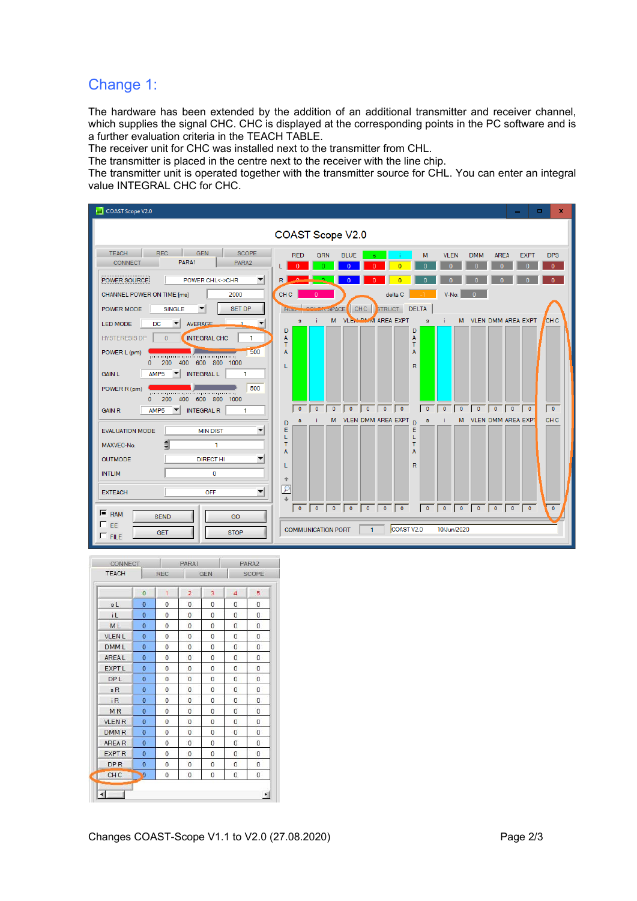## Change 1:

The hardware has been extended by the addition of an additional transmitter and receiver channel, which supplies the signal CHC. CHC is displayed at the corresponding points in the PC software and is a further evaluation criteria in the TEACH TABLE.

The receiver unit for CHC was installed next to the transmitter from CHL.

The transmitter is placed in the centre next to the receiver with the line chip.

The transmitter unit is operated together with the transmitter source for CHL. You can enter an integral value INTEGRAL CHC for CHC.

| COAST Scope V2.0                                                                                                                                                                                                                                                                                                                                                                                                          | ×<br>п.<br>-                                                                                                                                                                                                                                                                                            |  |  |  |  |  |  |  |  |
|---------------------------------------------------------------------------------------------------------------------------------------------------------------------------------------------------------------------------------------------------------------------------------------------------------------------------------------------------------------------------------------------------------------------------|---------------------------------------------------------------------------------------------------------------------------------------------------------------------------------------------------------------------------------------------------------------------------------------------------------|--|--|--|--|--|--|--|--|
| COAST Scope V2.0                                                                                                                                                                                                                                                                                                                                                                                                          |                                                                                                                                                                                                                                                                                                         |  |  |  |  |  |  |  |  |
| <b>TEACH</b><br><b>GEN</b><br><b>SCOPE</b><br>REC<br>PARA1<br><b>CONNECT</b><br>PARA2                                                                                                                                                                                                                                                                                                                                     | <b>VLEN</b><br><b>RED</b><br><b>GRN</b><br><b>BLUE</b><br>M<br><b>DMM</b><br><b>AREA</b><br><b>EXPT</b><br><b>DPS</b><br>Ф                                                                                                                                                                              |  |  |  |  |  |  |  |  |
| POWER SOURCE<br><b>POWER CHL&lt;-&gt;CHR</b><br>▼                                                                                                                                                                                                                                                                                                                                                                         | R                                                                                                                                                                                                                                                                                                       |  |  |  |  |  |  |  |  |
| CHANNEL POWER ON TIME [ms]<br>2000<br><b>SET DP</b><br>POWER MODE<br><b>SINGLE</b>                                                                                                                                                                                                                                                                                                                                        | V-No:<br>CH <sub>C</sub><br>delta C<br>$\overline{0}$<br><b>COLON SPACE</b><br>CHC<br><b>STRUCT DELTA</b><br><b>Ruper</b>                                                                                                                                                                               |  |  |  |  |  |  |  |  |
| <b>AVERAGE</b><br><b>LED MODE</b><br><b>DC</b><br>$\overline{\phantom{a}}$<br>Ŀ,<br>$\overline{\mathbf{v}}$<br>INTEGRAL CHC<br><b>HYSTERESIS DP</b><br>$\overline{0}$<br>1<br>500<br>POWER L (pm)<br>րուսորուսորանարասպատող<br>200 400 600 800 1000<br>$\Omega$<br>AMP <sub>5</sub><br><b>INTEGRAL L</b><br><b>GAIN L</b><br>1<br>500<br>POWER R (pm)<br>րուսզուսզումողուությունը<br>200 400 600 800 1000<br>$\mathbf{0}$ | <b>VLEN-DMM AREA EXPT</b><br>M<br><b>VLEN DMM AREA EXPT</b><br>M<br><b>CHC</b><br>s.<br>s<br>D<br>D<br>A<br>Α<br>T<br>т<br>A<br>А<br>$\overline{\mathsf{R}}$<br>L                                                                                                                                       |  |  |  |  |  |  |  |  |
| <b>INTEGRAL R</b><br><b>GAIN R</b><br>AMP <sub>5</sub><br>-1                                                                                                                                                                                                                                                                                                                                                              | $\bullet$<br>$0$ $0$ $0$<br>$\sqrt{2}$<br>$\sqrt{2}$<br>$\sqrt{a}$<br>$\sqrt{2}$<br>$\overline{\phantom{0}}$<br>$\begin{array}{\sqrt{2}} 0 \end{array}$<br>$\overline{\phantom{a}}$<br>$\overline{\phantom{a}}$<br>CH <sub>C</sub><br>M VLEN DMM AREA EXPT<br>M VLEN DMM AREA EXPT<br>$\mathbf{s}$<br>s |  |  |  |  |  |  |  |  |
| <b>EVALUATION MODE</b><br><b>MIN DIST</b><br>▼<br>MAXVEC-No.<br>1<br><b>OUTMODE</b><br><b>DIRECT HI</b><br>$\mathbf{0}$<br><b>INTLIM</b><br>▼<br>OFF<br><b>EXTEACH</b>                                                                                                                                                                                                                                                    | D<br>D<br>Ε<br>Ε<br>L<br>L<br>T<br>т<br>A<br>A<br>R<br>L<br>仐<br>$\mathcal{P}$                                                                                                                                                                                                                          |  |  |  |  |  |  |  |  |
| $F$ <sub>RAM</sub><br><b>SEND</b><br>GO<br>EE<br><b>STOP</b><br><b>GET</b><br>$\Gamma$ FILE                                                                                                                                                                                                                                                                                                                               | $\bullet$<br>COAST V <sub>2.0</sub><br>10/Jun/2020<br><b>COMMUNICATION PORT</b><br>$\mathbf{1}$                                                                                                                                                                                                         |  |  |  |  |  |  |  |  |

| CONNECT<br><b>TEACH</b> |                |                | PARA1<br><b>REC</b><br><b>GEN</b> |                |                | PARA2<br><b>SCOPE</b> |  |
|-------------------------|----------------|----------------|-----------------------------------|----------------|----------------|-----------------------|--|
|                         |                |                |                                   |                |                |                       |  |
|                         | $\Omega$       | 1              | $\overline{2}$                    | 3              | 4              | 5                     |  |
| sL                      | $\Omega$       | 0              | 0                                 | $\overline{0}$ | $\Omega$       | 0                     |  |
| iL                      | $\overline{0}$ | $\mathbf{0}$   | $\Omega$                          | $\overline{0}$ | 0              | $\overline{0}$        |  |
| ML                      | $\bf{0}$       | $\bf{0}$       | $\overline{0}$                    | $\Omega$       | $\Omega$       | $\overline{0}$        |  |
| <b>VLENL</b>            | $\bf{0}$       | $\theta$       | $\mathbf{0}$                      | $\overline{0}$ | $\theta$       | $\Omega$              |  |
| <b>DMML</b>             | $\Omega$       | $\bf{0}$       | $\overline{0}$                    | $\overline{0}$ | 0              | $\mathbf{0}$          |  |
| <b>AREAL</b>            | $\Omega$       | $\mathbf{0}$   | $\overline{0}$                    | $\overline{0}$ | $\overline{0}$ | $\Omega$              |  |
| <b>EXPT L</b>           | $\overline{0}$ | $\mathbf{0}$   | $\mathbf{0}$                      | $\overline{0}$ | 0              | $\overline{0}$        |  |
| DP <sub>L</sub>         | $\Omega$       | $\overline{0}$ | $\overline{0}$                    | $\overline{0}$ | $\theta$       | $\Omega$              |  |
| sR                      | $\bf{0}$       | $\mathbf{0}$   | $\overline{0}$                    | $\overline{0}$ | 0              | $\Omega$              |  |
| i <sub>R</sub>          | $\overline{0}$ | $\overline{0}$ | $\overline{0}$                    | $\overline{0}$ | $\mathbf{0}$   | $\overline{0}$        |  |
| <b>MR</b>               | $\bf{0}$       | $\overline{0}$ | 0                                 | $\overline{0}$ | 0              | 0                     |  |
| <b>VLEN R</b>           | $\bf{0}$       | $\overline{0}$ | $\overline{0}$                    | $\overline{0}$ | 0              | $\overline{0}$        |  |
| <b>DMMR</b>             | $\overline{0}$ | $\overline{0}$ | $\overline{0}$                    | $\overline{0}$ | 0              | $\overline{0}$        |  |
| <b>AREAR</b>            | $\Omega$       | $\Omega$       | $\Omega$                          | $\Omega$       | $\Omega$       | $\Omega$              |  |
| <b>EXPT R</b>           | $\overline{0}$ | $\overline{0}$ | $\Omega$                          | $\Omega$       | $\Omega$       | $\mathbf{0}$          |  |
| DP <sub>R</sub>         | $\overline{0}$ | $\overline{0}$ | $\overline{0}$                    | $\overline{0}$ | $\overline{0}$ | $\overline{0}$        |  |
| CH <sub>C</sub>         | O              | 0              | 0                                 | $\overline{0}$ | 0              | $\theta$              |  |